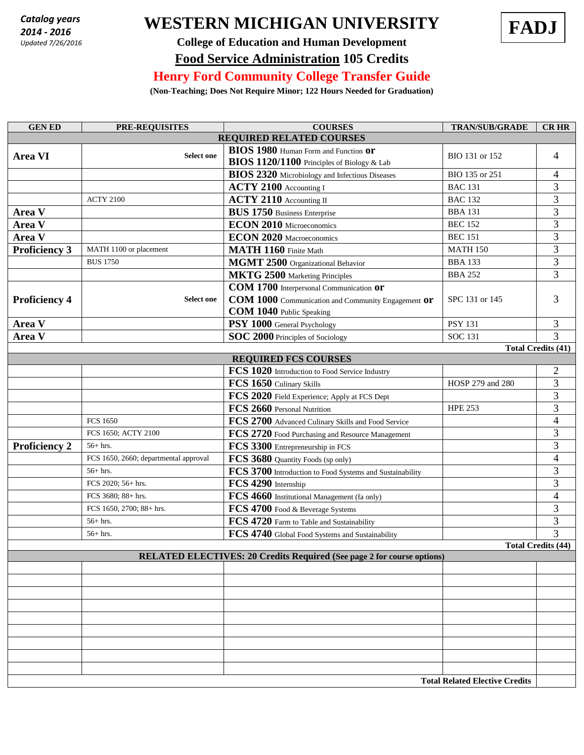*2014 - 2016 Updated 7/26/2016*

## **WESTERN MICHIGAN UNIVERSITY FADJ** *Catalog years*



## **College of Education and Human Development Food Service Administration 105 Credits**

## **Henry Ford Community College Transfer Guide**

**(Non-Teaching; Does Not Require Minor; 122 Hours Needed for Graduation)**

| <b>GEN ED</b>                   | <b>PRE-REQUISITES</b>                 | <b>COURSES</b>                                                                                                                   | <b>TRAN/SUB/GRADE</b> | <b>CRHR</b>                    |  |  |
|---------------------------------|---------------------------------------|----------------------------------------------------------------------------------------------------------------------------------|-----------------------|--------------------------------|--|--|
| <b>REQUIRED RELATED COURSES</b> |                                       |                                                                                                                                  |                       |                                |  |  |
| <b>Area VI</b>                  | <b>Select one</b>                     | BIOS 1980 Human Form and Function Or<br>BIOS 1120/1100 Principles of Biology & Lab                                               | BIO 131 or 152        | 4                              |  |  |
|                                 |                                       | <b>BIOS 2320</b> Microbiology and Infectious Diseases                                                                            | BIO 135 or 251        | 4                              |  |  |
|                                 |                                       | ACTY 2100 Accounting I                                                                                                           | <b>BAC 131</b>        | 3                              |  |  |
|                                 | <b>ACTY 2100</b>                      | ACTY 2110 Accounting II                                                                                                          | <b>BAC 132</b>        | 3                              |  |  |
| Area V                          |                                       | <b>BUS 1750 Business Enterprise</b>                                                                                              | <b>BBA 131</b>        | $\overline{3}$                 |  |  |
| Area V                          |                                       | <b>ECON 2010</b> Microeconomics                                                                                                  | <b>BEC 152</b>        | $\overline{3}$                 |  |  |
| Area V                          |                                       | <b>ECON 2020</b> Macroeconomics                                                                                                  | <b>BEC 151</b>        | $\overline{3}$                 |  |  |
| <b>Proficiency 3</b>            | MATH 1100 or placement                | MATH 1160 Finite Math                                                                                                            | <b>MATH 150</b>       | $\overline{3}$                 |  |  |
|                                 | <b>BUS 1750</b>                       | MGMT 2500 Organizational Behavior                                                                                                | <b>BBA 133</b>        | 3                              |  |  |
|                                 |                                       | <b>MKTG 2500</b> Marketing Principles                                                                                            | <b>BBA 252</b>        | 3                              |  |  |
| <b>Proficiency 4</b>            | <b>Select one</b>                     | COM 1700 Interpersonal Communication or<br>COM 1000 Communication and Community Engagement Or<br><b>COM 1040</b> Public Speaking | SPC 131 or 145        | 3                              |  |  |
| Area V                          |                                       | PSY 1000 General Psychology                                                                                                      | <b>PSY 131</b>        | 3                              |  |  |
| Area V                          |                                       | SOC 2000 Principles of Sociology                                                                                                 | <b>SOC 131</b>        | 3                              |  |  |
|                                 |                                       |                                                                                                                                  |                       | <b>Total Credits (41)</b>      |  |  |
|                                 |                                       | <b>REQUIRED FCS COURSES</b>                                                                                                      |                       |                                |  |  |
|                                 |                                       | FCS 1020 Introduction to Food Service Industry                                                                                   |                       | 2                              |  |  |
|                                 |                                       | FCS 1650 Culinary Skills                                                                                                         | HOSP 279 and 280      | 3                              |  |  |
|                                 |                                       | FCS 2020 Field Experience; Apply at FCS Dept                                                                                     |                       | $\overline{3}$                 |  |  |
|                                 |                                       | FCS 2660 Personal Nutrition                                                                                                      | <b>HPE 253</b>        | $\overline{3}$                 |  |  |
|                                 | <b>FCS 1650</b>                       | FCS 2700 Advanced Culinary Skills and Food Service                                                                               |                       | $\overline{\mathbf{4}}$        |  |  |
|                                 | FCS 1650; ACTY 2100                   | FCS 2720 Food Purchasing and Resource Management                                                                                 |                       | 3                              |  |  |
| <b>Proficiency 2</b>            | $56+$ hrs.                            | FCS 3300 Entrepreneurship in FCS                                                                                                 |                       | 3                              |  |  |
|                                 | FCS 1650, 2660; departmental approval | FCS 3680 Quantity Foods (sp only)                                                                                                |                       | $\overline{\mathbf{4}}$        |  |  |
|                                 | $56+$ hrs.                            | FCS 3700 Introduction to Food Systems and Sustainability                                                                         |                       | 3                              |  |  |
|                                 | FCS 2020; 56+ hrs.                    | FCS 4290 Internship                                                                                                              |                       | $\overline{3}$                 |  |  |
|                                 | FCS 3680; 88+ hrs.                    | FCS 4660 Institutional Management (fa only)                                                                                      |                       | $\overline{\mathcal{L}}$       |  |  |
|                                 | FCS 1650, 2700; 88+ hrs.              | FCS 4700 Food & Beverage Systems                                                                                                 |                       | 3                              |  |  |
|                                 | $56+$ hrs.                            | FCS 4720 Farm to Table and Sustainability                                                                                        |                       | $\overline{3}$                 |  |  |
|                                 | $56+$ hrs.                            | FCS 4740 Global Food Systems and Sustainability                                                                                  |                       | 3<br><b>Total Credits (44)</b> |  |  |
|                                 |                                       | <b>RELATED ELECTIVES: 20 Credits Required (See page 2 for course options)</b>                                                    |                       |                                |  |  |
|                                 |                                       |                                                                                                                                  |                       |                                |  |  |
|                                 |                                       |                                                                                                                                  |                       |                                |  |  |
|                                 |                                       |                                                                                                                                  |                       |                                |  |  |
|                                 |                                       |                                                                                                                                  |                       |                                |  |  |
|                                 |                                       |                                                                                                                                  |                       |                                |  |  |
|                                 |                                       |                                                                                                                                  |                       |                                |  |  |
|                                 |                                       |                                                                                                                                  |                       |                                |  |  |
|                                 |                                       |                                                                                                                                  |                       |                                |  |  |
|                                 |                                       |                                                                                                                                  |                       |                                |  |  |
|                                 | <b>Total Related Elective Credits</b> |                                                                                                                                  |                       |                                |  |  |